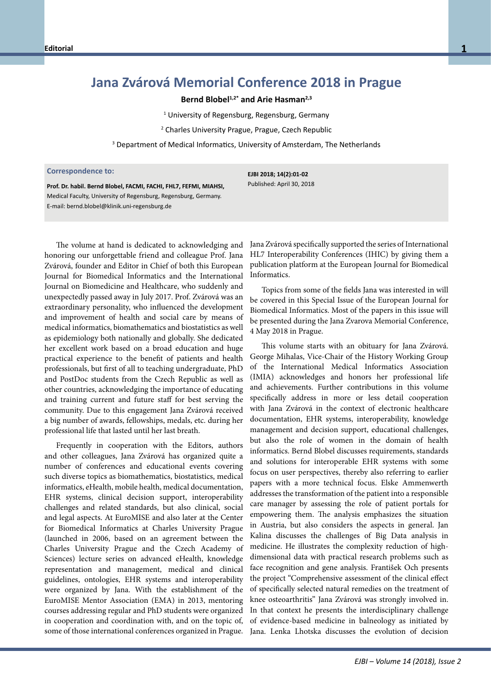## **Jana Zvárová Memorial Conference 2018 in Prague**

## **Bernd Blobel1,2\* and Arie Hasman2,3**

<sup>1</sup> University of Regensburg, Regensburg, Germany

2 Charles University Prague, Prague, Czech Republic

<sup>3</sup> Department of Medical Informatics, University of Amsterdam, The Netherlands

## **Correspondence to: Correspondence to:**

**Prof. Dr. habil. Bernd Blobels, FACMI, FACHI, FHL7, FEFMI, MIAHSI** Medical Faculty, University of Regensburg, Regensburg, Germany. Medical Faculty, University of Regensburg, Germany. E-mail: bernd.blobel@klinik.uni-regensburg.de E-mail: bernd.blobel@klinik.uni-regensburg.de**Prof. Dr. habil. Bernd Blobel, FACMI, FACHI, FHL7, FEFMI, MIAHSI,**

The volume at hand is dedicated to acknowledging and honoring our unforgettable friend and colleague Prof. Jana Zvárová, founder and Editor in Chief of both this European Journal for Biomedical Informatics and the International Journal on Biomedicine and Healthcare, who suddenly and unexpectedly passed away in July 2017. Prof. Zvárová was an extraordinary personality, who influenced the development and improvement of health and social care by means of medical informatics, biomathematics and biostatistics as well as epidemiology both nationally and globally. She dedicated her excellent work based on a broad education and huge practical experience to the benefit of patients and health professionals, but first of all to teaching undergraduate, PhD and PostDoc students from the Czech Republic as well as other countries, acknowledging the importance of educating and training current and future staff for best serving the community. Due to this engagement Jana Zvárová received a big number of awards, fellowships, medals, etc. during her professional life that lasted until her last breath.

Frequently in cooperation with the Editors, authors and other colleagues, Jana Zvárová has organized quite a number of conferences and educational events covering such diverse topics as biomathematics, biostatistics, medical informatics, eHealth, mobile health, medical documentation, EHR systems, clinical decision support, interoperability challenges and related standards, but also clinical, social and legal aspects. At EuroMISE and also later at the Center for Biomedical Informatics at Charles University Prague (launched in 2006, based on an agreement between the Charles University Prague and the Czech Academy of Sciences) lecture series on advanced eHealth, knowledge representation and management, medical and clinical guidelines, ontologies, EHR systems and interoperability were organized by Jana. With the establishment of the EuroMISE Mentor Association (EMA) in 2013, mentoring courses addressing regular and PhD students were organized in cooperation and coordination with, and on the topic of, some of those international conferences organized in Prague.

**EJBI 2018; 14(2):01-02** Published: April 30, 2018

Jana Zvárová specifically supported the series of International HL7 Interoperability Conferences (IHIC) by giving them a publication platform at the European Journal for Biomedical Informatics.

Topics from some of the fields Jana was interested in will be covered in this Special Issue of the European Journal for Biomedical Informatics. Most of the papers in this issue will be presented during the Jana Zvarova Memorial Conference, 4 May 2018 in Prague.

This volume starts with an obituary for Jana Zvárová. George Mihalas, Vice-Chair of the History Working Group of the International Medical Informatics Association (IMIA) acknowledges and honors her professional life and achievements. Further contributions in this volume specifically address in more or less detail cooperation with Jana Zvárová in the context of electronic healthcare documentation, EHR systems, interoperability, knowledge management and decision support, educational challenges, but also the role of women in the domain of health informatics. Bernd Blobel discusses requirements, standards and solutions for interoperable EHR systems with some focus on user perspectives, thereby also referring to earlier papers with a more technical focus. Elske Ammenwerth addresses the transformation of the patient into a responsible care manager by assessing the role of patient portals for empowering them. The analysis emphasizes the situation in Austria, but also considers the aspects in general. Jan Kalina discusses the challenges of Big Data analysis in medicine. He illustrates the complexity reduction of highdimensional data with practical research problems such as face recognition and gene analysis. František Och presents the project "Comprehensive assessment of the clinical effect of specifically selected natural remedies on the treatment of knee osteoarthritis" Jana Zvárová was strongly involved in. In that context he presents the interdisciplinary challenge of evidence-based medicine in balneology as initiated by Jana. Lenka Lhotska discusses the evolution of decision